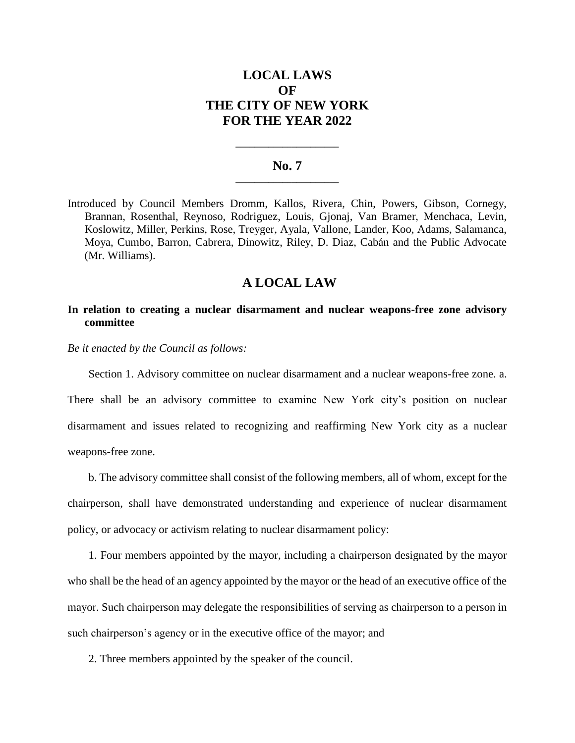# **LOCAL LAWS OF THE CITY OF NEW YORK FOR THE YEAR 2022**

### **No. 7 \_\_\_\_\_\_\_\_\_\_\_\_\_\_\_\_\_\_\_\_\_\_**

**\_\_\_\_\_\_\_\_\_\_\_\_\_\_\_\_\_\_\_\_\_\_**

Introduced by Council Members Dromm, Kallos, Rivera, Chin, Powers, Gibson, Cornegy, Brannan, Rosenthal, Reynoso, Rodriguez, Louis, Gjonaj, Van Bramer, Menchaca, Levin, Koslowitz, Miller, Perkins, Rose, Treyger, Ayala, Vallone, Lander, Koo, Adams, Salamanca, Moya, Cumbo, Barron, Cabrera, Dinowitz, Riley, D. Diaz, Cabán and the Public Advocate (Mr. Williams).

## **A LOCAL LAW**

### **In relation to creating a nuclear disarmament and nuclear weapons-free zone advisory committee**

*Be it enacted by the Council as follows:*

Section 1. Advisory committee on nuclear disarmament and a nuclear weapons-free zone. a.

There shall be an advisory committee to examine New York city's position on nuclear disarmament and issues related to recognizing and reaffirming New York city as a nuclear weapons-free zone.

b. The advisory committee shall consist of the following members, all of whom, except for the chairperson, shall have demonstrated understanding and experience of nuclear disarmament policy, or advocacy or activism relating to nuclear disarmament policy:

1. Four members appointed by the mayor, including a chairperson designated by the mayor who shall be the head of an agency appointed by the mayor or the head of an executive office of the mayor. Such chairperson may delegate the responsibilities of serving as chairperson to a person in such chairperson's agency or in the executive office of the mayor; and

2. Three members appointed by the speaker of the council.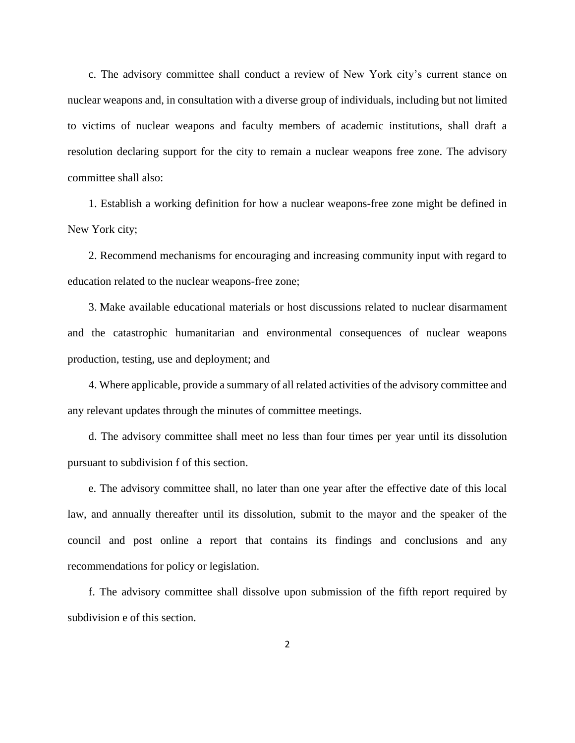c. The advisory committee shall conduct a review of New York city's current stance on nuclear weapons and, in consultation with a diverse group of individuals, including but not limited to victims of nuclear weapons and faculty members of academic institutions, shall draft a resolution declaring support for the city to remain a nuclear weapons free zone. The advisory committee shall also:

1. Establish a working definition for how a nuclear weapons-free zone might be defined in New York city;

2. Recommend mechanisms for encouraging and increasing community input with regard to education related to the nuclear weapons-free zone;

3. Make available educational materials or host discussions related to nuclear disarmament and the catastrophic humanitarian and environmental consequences of nuclear weapons production, testing, use and deployment; and

4. Where applicable, provide a summary of all related activities of the advisory committee and any relevant updates through the minutes of committee meetings.

d. The advisory committee shall meet no less than four times per year until its dissolution pursuant to subdivision f of this section.

e. The advisory committee shall, no later than one year after the effective date of this local law, and annually thereafter until its dissolution, submit to the mayor and the speaker of the council and post online a report that contains its findings and conclusions and any recommendations for policy or legislation.

f. The advisory committee shall dissolve upon submission of the fifth report required by subdivision e of this section.